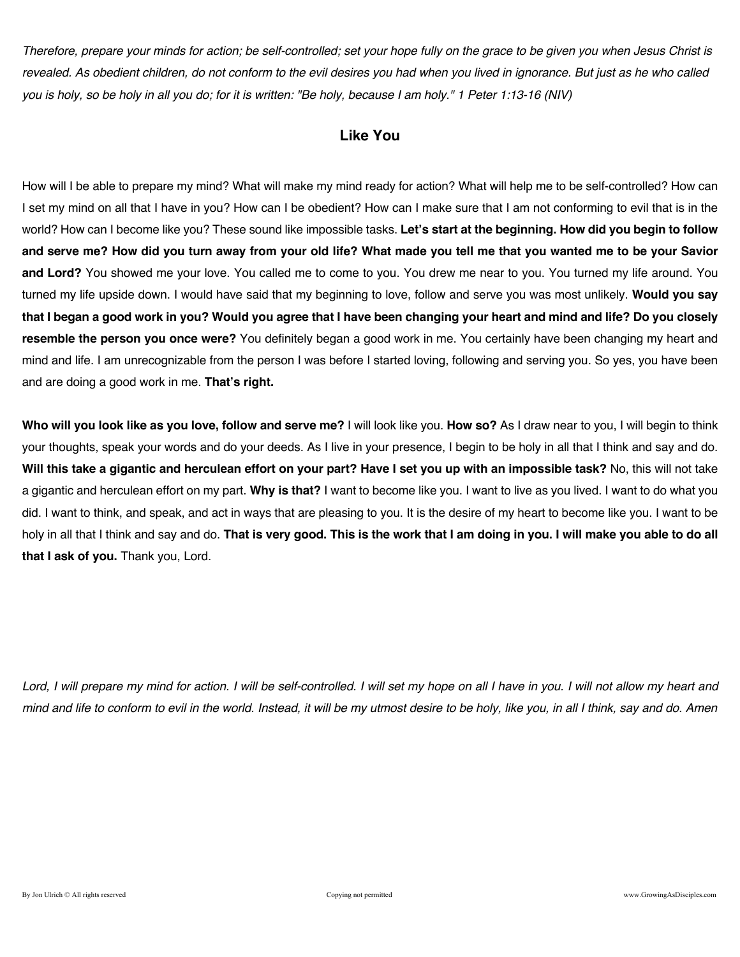*Therefore, prepare your minds for action; be self-controlled; set your hope fully on the grace to be given you when Jesus Christ is revealed. As obedient children, do not conform to the evil desires you had when you lived in ignorance. But just as he who called you is holy, so be holy in all you do; for it is written: "Be holy, because I am holy." 1 Peter 1:13-16 (NIV)* 

### **Like You**

How will I be able to prepare my mind? What will make my mind ready for action? What will help me to be self-controlled? How can I set my mind on all that I have in you? How can I be obedient? How can I make sure that I am not conforming to evil that is in the world? How can I become like you? These sound like impossible tasks. **Let's start at the beginning. How did you begin to follow and serve me? How did you turn away from your old life? What made you tell me that you wanted me to be your Savior and Lord?** You showed me your love. You called me to come to you. You drew me near to you. You turned my life around. You turned my life upside down. I would have said that my beginning to love, follow and serve you was most unlikely. **Would you say that I began a good work in you? Would you agree that I have been changing your heart and mind and life? Do you closely resemble the person you once were?** You definitely began a good work in me. You certainly have been changing my heart and mind and life. I am unrecognizable from the person I was before I started loving, following and serving you. So yes, you have been and are doing a good work in me. **That's right.**

**Who will you look like as you love, follow and serve me?** I will look like you. **How so?** As I draw near to you, I will begin to think your thoughts, speak your words and do your deeds. As I live in your presence, I begin to be holy in all that I think and say and do. **Will this take a gigantic and herculean effort on your part? Have I set you up with an impossible task?** No, this will not take a gigantic and herculean effort on my part. **Why is that?** I want to become like you. I want to live as you lived. I want to do what you did. I want to think, and speak, and act in ways that are pleasing to you. It is the desire of my heart to become like you. I want to be holy in all that I think and say and do. **That is very good. This is the work that I am doing in you. I will make you able to do all that I ask of you.** Thank you, Lord.

Lord, I will prepare my mind for action. I will be self-controlled. I will set my hope on all I have in you. I will not allow my heart and *mind and life to conform to evil in the world. Instead, it will be my utmost desire to be holy, like you, in all I think, say and do. Amen*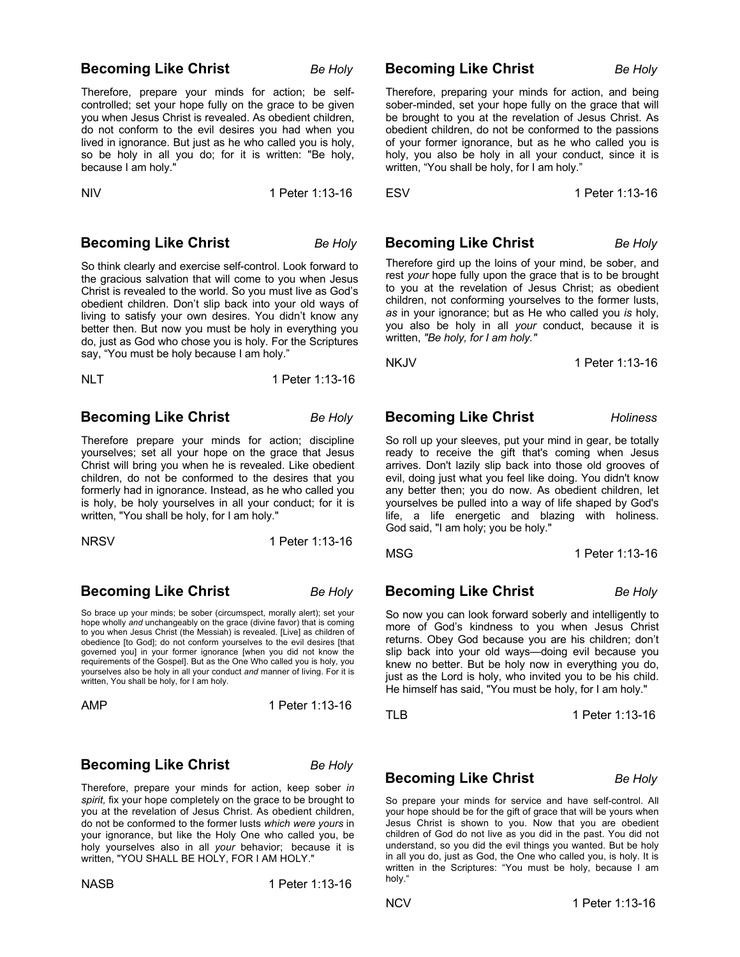### **Becoming Like Christ** Be Holy

Therefore, prepare your minds for action; be selfcontrolled; set your hope fully on the grace to be given you when Jesus Christ is revealed. As obedient children, do not conform to the evil desires you had when you lived in ignorance. But just as he who called you is holy, so be holy in all you do; for it is written: "Be holy, because I am holy."

NIV 1 Peter 1:13-16

### **Becoming Like Christ** *Be Holy*

So think clearly and exercise self-control. Look forward to the gracious salvation that will come to you when Jesus Christ is revealed to the world. So you must live as God's obedient children. Don't slip back into your old ways of living to satisfy your own desires. You didn't know any better then. But now you must be holy in everything you do, just as God who chose you is holy. For the Scriptures say, "You must be holy because I am holy."

### **Becoming Like Christ** Be Holy

Therefore prepare your minds for action; discipline yourselves; set all your hope on the grace that Jesus Christ will bring you when he is revealed. Like obedient children, do not be conformed to the desires that you formerly had in ignorance. Instead, as he who called you is holy, be holy yourselves in all your conduct; for it is written, "You shall be holy, for I am holy."

| <b>NRSV</b> | 1 Peter 1:13-16 |
|-------------|-----------------|
|             |                 |

**Becoming Like Christ** Be Holy

So brace up your minds; be sober (circumspect, morally alert); set your hope wholly *and* unchangeably on the grace (divine favor) that is coming to you when Jesus Christ (the Messiah) is revealed. [Live] as children of obedience [to God]; do not conform yourselves to the evil desires [that governed you] in your former ignorance [when you did not know the requirements of the Gospel]. But as the One Who called you is holy, you yourselves also be holy in all your conduct *and* manner of living. For it is written, You shall be holy, for I am holy.

### **Becoming Like Christ** Be Holy

Therefore, prepare your minds for action, keep sober *in spirit,* fix your hope completely on the grace to be brought to you at the revelation of Jesus Christ. As obedient children, do not be conformed to the former lusts *which were yours* in your ignorance, but like the Holy One who called you, be holy yourselves also in all *your* behavior; because it is written, "YOU SHALL BE HOLY, FOR I AM HOLY."

NASB 1 Peter 1:13-16

### **Becoming Like Christ** *Be Holy*

Therefore, preparing your minds for action, and being sober-minded, set your hope fully on the grace that will be brought to you at the revelation of Jesus Christ. As obedient children, do not be conformed to the passions of your former ignorance, but as he who called you is holy, you also be holy in all your conduct, since it is written, "You shall be holy, for I am holy."

ESV 1 Peter 1:13-16

### **Becoming Like Christ** *Be Holy*

Therefore gird up the loins of your mind, be sober, and rest *your* hope fully upon the grace that is to be brought to you at the revelation of Jesus Christ; as obedient children, not conforming yourselves to the former lusts, *as* in your ignorance; but as He who called you *is* holy, you also be holy in all *your* conduct, because it is written, *"Be holy, for I am holy."*

NKJV 1 Peter 1:13-16

### **Becoming Like Christ Holiness**

So roll up your sleeves, put your mind in gear, be totally ready to receive the gift that's coming when Jesus arrives. Don't lazily slip back into those old grooves of evil, doing just what you feel like doing. You didn't know any better then; you do now. As obedient children, let yourselves be pulled into a way of life shaped by God's life, a life energetic and blazing with holiness. God said, "I am holy; you be holy."

MSG 1 Peter 1:13-16

### **Becoming Like Christ** Be Holy

So now you can look forward soberly and intelligently to more of God's kindness to you when Jesus Christ returns. Obey God because you are his children; don't slip back into your old ways—doing evil because you knew no better. But be holy now in everything you do, just as the Lord is holy, who invited you to be his child. He himself has said, "You must be holy, for I am holy."

TLB 1 Peter 1:13-16

### **Becoming Like Christ** *Be Holy*

So prepare your minds for service and have self-control. All your hope should be for the gift of grace that will be yours when Jesus Christ is shown to you. Now that you are obedient children of God do not live as you did in the past. You did not understand, so you did the evil things you wanted. But be holy in all you do, just as God, the One who called you, is holy. It is written in the Scriptures: "You must be holy, because I am holy."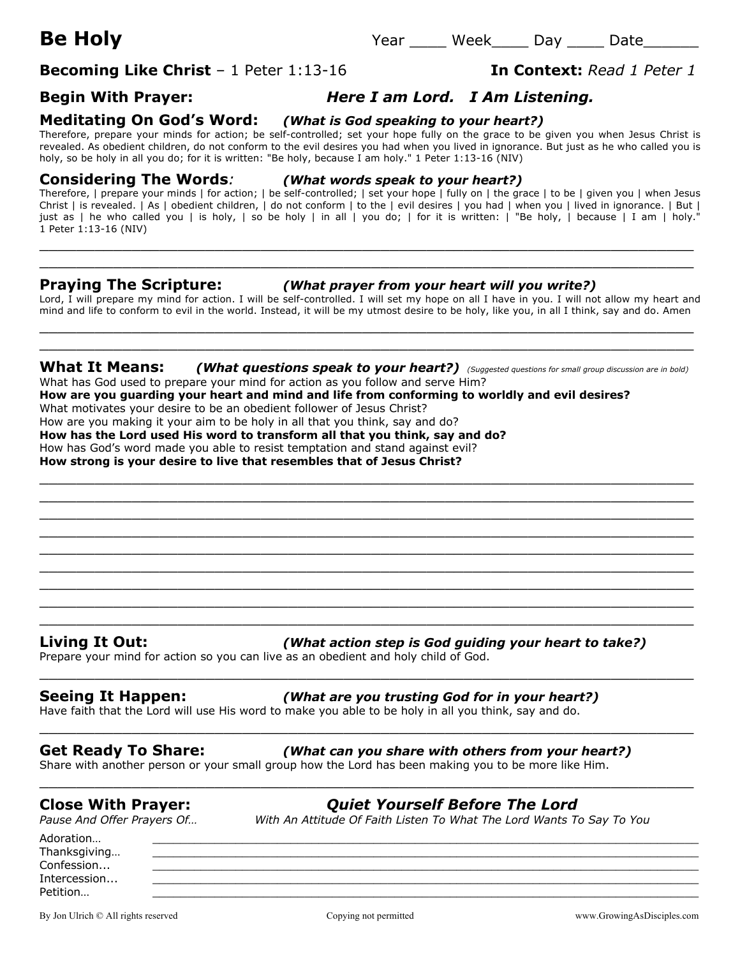# **Becoming Like Christ** – 1 Peter 1:13-16 **In Context:** Read 1 Peter 1

## **Begin With Prayer:** *Here I am Lord. I Am Listening.*

### **Meditating On God's Word:** *(What is God speaking to your heart?)*

Therefore, prepare your minds for action; be self-controlled; set your hope fully on the grace to be given you when Jesus Christ is revealed. As obedient children, do not conform to the evil desires you had when you lived in ignorance. But just as he who called you is holy, so be holy in all you do; for it is written: "Be holy, because I am holy." 1 Peter 1:13-16 (NIV)

### **Considering The Words***: (What words speak to your heart?)*

Therefore, | prepare your minds | for action; | be self-controlled; | set your hope | fully on | the grace | to be | given you | when Jesus Christ | is revealed. | As | obedient children, | do not conform | to the | evil desires | you had | when you | lived in ignorance. | But | just as | he who called you | is holy, | so be holy | in all | you do; | for it is written: | "Be holy, | because | I am | holy." 1 Peter 1:13-16 (NIV)

 $\_$  , and the contribution of the contribution of  $\mathcal{L}$  , and  $\mathcal{L}$  , and  $\mathcal{L}$  , and  $\mathcal{L}$  , and  $\mathcal{L}$  , and  $\mathcal{L}$  , and  $\mathcal{L}$  , and  $\mathcal{L}$  , and  $\mathcal{L}$  , and  $\mathcal{L}$  , and  $\mathcal{L}$  , and  $\mathcal{L$ \_\_\_\_\_\_\_\_\_\_\_\_\_\_\_\_\_\_\_\_\_\_\_\_\_\_\_\_\_\_\_\_\_\_\_\_\_\_\_\_\_\_\_\_\_\_\_\_\_\_\_\_\_\_\_\_\_\_\_\_\_\_\_\_\_\_\_\_\_\_\_

### **Praying The Scripture:** *(What prayer from your heart will you write?)*

Lord, I will prepare my mind for action. I will be self-controlled. I will set my hope on all I have in you. I will not allow my heart and mind and life to conform to evil in the world. Instead, it will be my utmost desire to be holy, like you, in all I think, say and do. Amen

 $\_$  . The contribution of the contribution of  $\mathcal{L}_1$  ,  $\mathcal{L}_2$  ,  $\mathcal{L}_3$  ,  $\mathcal{L}_4$  ,  $\mathcal{L}_5$  ,  $\mathcal{L}_6$  ,  $\mathcal{L}_7$  ,  $\mathcal{L}_8$  ,  $\mathcal{L}_9$  ,  $\mathcal{L}_1$  ,  $\mathcal{L}_2$  ,  $\mathcal{L}_3$  ,  $\mathcal{L}_5$  ,  $\mathcal{L}_6$  ,  $\mathcal{L}_$  $\_$  , and the set of the set of the set of the set of the set of the set of the set of the set of the set of the set of the set of the set of the set of the set of the set of the set of the set of the set of the set of th

### **What It Means:** *(What questions speak to your heart?) (Suggested questions for small group discussion are in bold)* What has God used to prepare your mind for action as you follow and serve Him?

 $\_$  , and the contribution of the contribution of  $\mathcal{L}$  , and  $\mathcal{L}$  , and  $\mathcal{L}$  , and  $\mathcal{L}$  , and  $\mathcal{L}$  , and  $\mathcal{L}$  , and  $\mathcal{L}$  , and  $\mathcal{L}$  , and  $\mathcal{L}$  , and  $\mathcal{L}$  , and  $\mathcal{L}$  , and  $\mathcal{L$ \_\_\_\_\_\_\_\_\_\_\_\_\_\_\_\_\_\_\_\_\_\_\_\_\_\_\_\_\_\_\_\_\_\_\_\_\_\_\_\_\_\_\_\_\_\_\_\_\_\_\_\_\_\_\_\_\_\_\_\_\_\_\_\_\_\_\_\_\_\_\_  $\_$  , and the contribution of the contribution of  $\mathcal{L}$  , and  $\mathcal{L}$  , and  $\mathcal{L}$  , and  $\mathcal{L}$  , and  $\mathcal{L}$  , and  $\mathcal{L}$  , and  $\mathcal{L}$  , and  $\mathcal{L}$  , and  $\mathcal{L}$  , and  $\mathcal{L}$  , and  $\mathcal{L}$  , and  $\mathcal{L$  $\_$  . The contribution of the contribution of  $\mathcal{L}_1$  ,  $\mathcal{L}_2$  ,  $\mathcal{L}_3$  ,  $\mathcal{L}_4$  ,  $\mathcal{L}_5$  ,  $\mathcal{L}_6$  ,  $\mathcal{L}_7$  ,  $\mathcal{L}_8$  ,  $\mathcal{L}_9$  ,  $\mathcal{L}_1$  ,  $\mathcal{L}_2$  ,  $\mathcal{L}_3$  ,  $\mathcal{L}_5$  ,  $\mathcal{L}_6$  ,  $\mathcal{L}_$ \_\_\_\_\_\_\_\_\_\_\_\_\_\_\_\_\_\_\_\_\_\_\_\_\_\_\_\_\_\_\_\_\_\_\_\_\_\_\_\_\_\_\_\_\_\_\_\_\_\_\_\_\_\_\_\_\_\_\_\_\_\_\_\_\_\_\_\_\_\_\_  $\_$  , and the contribution of the contribution of  $\mathcal{L}$  , and  $\mathcal{L}$  , and  $\mathcal{L}$  , and  $\mathcal{L}$  , and  $\mathcal{L}$  , and  $\mathcal{L}$  , and  $\mathcal{L}$  , and  $\mathcal{L}$  , and  $\mathcal{L}$  , and  $\mathcal{L}$  , and  $\mathcal{L}$  , and  $\mathcal{L$  $\_$  , and the contribution of the contribution of  $\mathcal{L}$  , and  $\mathcal{L}$  , and  $\mathcal{L}$  , and  $\mathcal{L}$  , and  $\mathcal{L}$  , and  $\mathcal{L}$  , and  $\mathcal{L}$  , and  $\mathcal{L}$  , and  $\mathcal{L}$  , and  $\mathcal{L}$  , and  $\mathcal{L}$  , and  $\mathcal{L$  $\_$  . The contribution of the contribution of  $\mathcal{L}_1$  ,  $\mathcal{L}_2$  ,  $\mathcal{L}_3$  ,  $\mathcal{L}_4$  ,  $\mathcal{L}_5$  ,  $\mathcal{L}_6$  ,  $\mathcal{L}_7$  ,  $\mathcal{L}_8$  ,  $\mathcal{L}_9$  ,  $\mathcal{L}_1$  ,  $\mathcal{L}_2$  ,  $\mathcal{L}_3$  ,  $\mathcal{L}_5$  ,  $\mathcal{L}_6$  ,  $\mathcal{L}_$ \_\_\_\_\_\_\_\_\_\_\_\_\_\_\_\_\_\_\_\_\_\_\_\_\_\_\_\_\_\_\_\_\_\_\_\_\_\_\_\_\_\_\_\_\_\_\_\_\_\_\_\_\_\_\_\_\_\_\_\_\_\_\_\_\_\_\_\_\_\_\_

\_\_\_\_\_\_\_\_\_\_\_\_\_\_\_\_\_\_\_\_\_\_\_\_\_\_\_\_\_\_\_\_\_\_\_\_\_\_\_\_\_\_\_\_\_\_\_\_\_\_\_\_\_\_\_\_\_\_\_\_\_\_\_\_\_\_\_\_\_\_\_

\_\_\_\_\_\_\_\_\_\_\_\_\_\_\_\_\_\_\_\_\_\_\_\_\_\_\_\_\_\_\_\_\_\_\_\_\_\_\_\_\_\_\_\_\_\_\_\_\_\_\_\_\_\_\_\_\_\_\_\_\_\_\_\_\_\_\_\_\_\_\_

\_\_\_\_\_\_\_\_\_\_\_\_\_\_\_\_\_\_\_\_\_\_\_\_\_\_\_\_\_\_\_\_\_\_\_\_\_\_\_\_\_\_\_\_\_\_\_\_\_\_\_\_\_\_\_\_\_\_\_\_\_\_\_\_\_\_\_\_\_\_\_

**How are you guarding your heart and mind and life from conforming to worldly and evil desires?**

What motivates your desire to be an obedient follower of Jesus Christ?

How are you making it your aim to be holy in all that you think, say and do?

**How has the Lord used His word to transform all that you think, say and do?**

How has God's word made you able to resist temptation and stand against evil? **How strong is your desire to live that resembles that of Jesus Christ?**

**Living It Out:** *(What action step is God guiding your heart to take?)*

Prepare your mind for action so you can live as an obedient and holy child of God.

## **Seeing It Happen:** *(What are you trusting God for in your heart?)*

Have faith that the Lord will use His word to make you able to be holy in all you think, say and do.

## **Get Ready To Share:** *(What can you share with others from your heart?)*

Share with another person or your small group how the Lord has been making you to be more like Him.

*Pause And Offer Prayers Of… With An Attitude Of Faith Listen To What The Lord Wants To Say To You*

**Close With Prayer:** *Quiet Yourself Before The Lord*

Adoration… \_\_\_\_\_\_\_\_\_\_\_\_\_\_\_\_\_\_\_\_\_\_\_\_\_\_\_\_\_\_\_\_\_\_\_\_\_\_\_\_\_\_\_\_\_\_\_\_\_\_\_\_\_\_\_\_\_\_\_\_\_\_\_\_\_\_\_\_\_\_\_\_\_\_\_\_\_\_\_ Thanksgiving...  $\textsf{Confession...}\qquad \qquad \underline{\hspace{25pt}}$ Intercession... Petition… \_\_\_\_\_\_\_\_\_\_\_\_\_\_\_\_\_\_\_\_\_\_\_\_\_\_\_\_\_\_\_\_\_\_\_\_\_\_\_\_\_\_\_\_\_\_\_\_\_\_\_\_\_\_\_\_\_\_\_\_\_\_\_\_\_\_\_\_\_\_\_\_\_\_\_\_\_\_\_

By Jon Ulrich © All rights reserved examples are compared comparing comparing the comparing of permitted www.GrowingAsDisciples.com